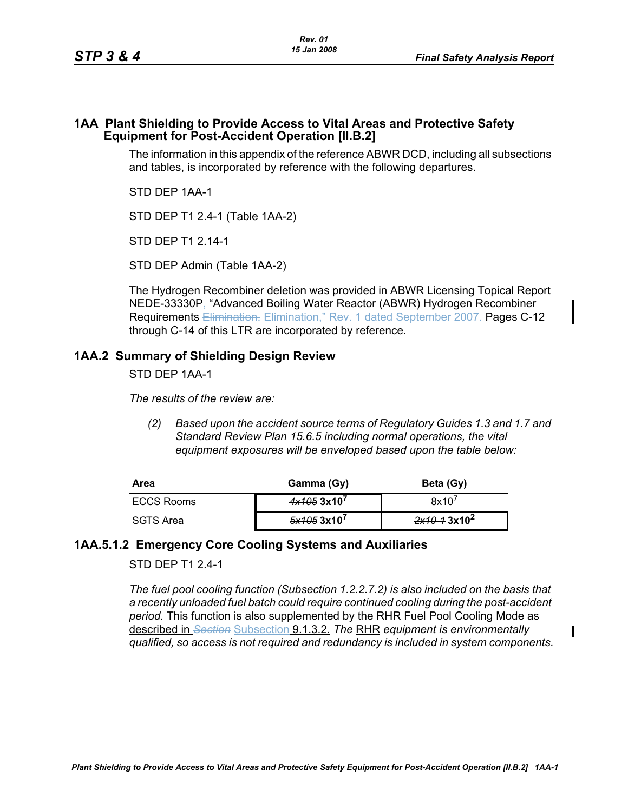Π

## **1AA Plant Shielding to Provide Access to Vital Areas and Protective Safety Equipment for Post-Accident Operation [II.B.2]**

The information in this appendix of the reference ABWR DCD, including all subsections and tables, is incorporated by reference with the following departures.

STD DEP 1AA-1

STD DEP T1 2.4-1 (Table 1AA-2)

STD DEP T1 2.14-1

STD DEP Admin (Table 1AA-2)

The Hydrogen Recombiner deletion was provided in ABWR Licensing Topical Report NEDE-33330P, "Advanced Boiling Water Reactor (ABWR) Hydrogen Recombiner Requirements Elimination. Elimination," Rev. 1 dated September 2007. Pages C-12 through C-14 of this LTR are incorporated by reference.

## **1AA.2 Summary of Shielding Design Review**

STD DEP 1AA-1

*The results of the review are:*

*(2) Based upon the accident source terms of Regulatory Guides 1.3 and 1.7 and Standard Review Plan 15.6.5 including normal operations, the vital equipment exposures will be enveloped based upon the table below:*

| Area       | Gamma (Gy)    | Beta (Gy)      |
|------------|---------------|----------------|
| ECCS Rooms | 4x1053x10'    | 8x10'          |
| SGTS Area  | $5x1053x10^7$ | $2x10-13x10^2$ |

## **1AA.5.1.2 Emergency Core Cooling Systems and Auxiliaries**

STD DEP T1 2.4-1

*The fuel pool cooling function (Subsection 1.2.2.7.2) is also included on the basis that a recently unloaded fuel batch could require continued cooling during the post-accident period.* This function is also supplemented by the RHR Fuel Pool Cooling Mode as described in *Section* Subsection 9.1.3.2. *The* RHR *equipment is environmentally qualified, so access is not required and redundancy is included in system components.*